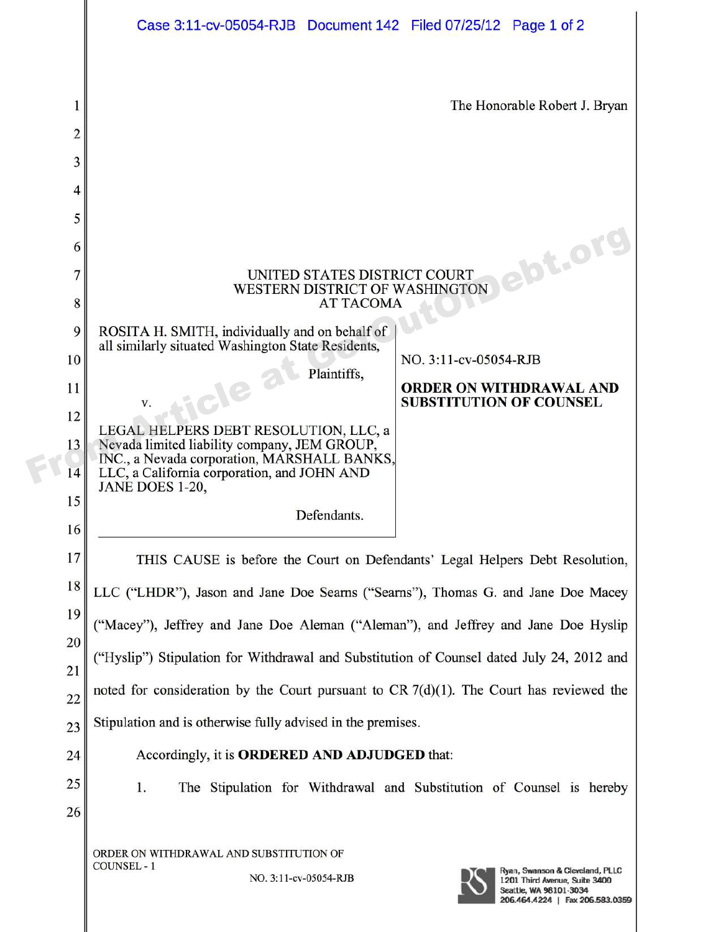|                         | Case 3:11-cv-05054-RJB Document 142 Filed 07/25/12 Page 1 of 2                                                                             |                                                                                                                               |
|-------------------------|--------------------------------------------------------------------------------------------------------------------------------------------|-------------------------------------------------------------------------------------------------------------------------------|
|                         |                                                                                                                                            |                                                                                                                               |
| 1                       | The Honorable Robert J. Bryan                                                                                                              |                                                                                                                               |
| $\overline{\mathbf{c}}$ |                                                                                                                                            |                                                                                                                               |
| 3                       |                                                                                                                                            |                                                                                                                               |
| 4                       |                                                                                                                                            |                                                                                                                               |
| 5                       |                                                                                                                                            |                                                                                                                               |
| 6                       |                                                                                                                                            | ebt.or                                                                                                                        |
| 7                       | UNITED STATES DISTRICT COURT<br>WESTERN DISTRICT OF WASHINGTON                                                                             |                                                                                                                               |
| 8                       | <b>AT TACOMA</b>                                                                                                                           |                                                                                                                               |
| 9                       | ROSITA H. SMITH, individually and on behalf of<br>all similarly situated Washington State Residents,                                       |                                                                                                                               |
| 10                      | Plaintiffs,                                                                                                                                | NO. 3:11-cv-05054-RJB                                                                                                         |
| 11                      | $\mathbf{z}$<br>-12<br>V.                                                                                                                  | <b>ORDER ON WITHDRAWAL AND</b><br><b>SUBSTITUTION OF COUNSEL</b>                                                              |
| 12                      | LEGAL HELPERS DEBT RESOLUTION, LLC, a                                                                                                      |                                                                                                                               |
| 13<br>14                | Nevada limited liability company, JEM GROUP,<br>INC., a Nevada corporation, MARSHALL BANKS,<br>LLC, a California corporation, and JOHN AND |                                                                                                                               |
| 15                      | JANE DOES 1-20,                                                                                                                            |                                                                                                                               |
| 16                      | Defendants.                                                                                                                                |                                                                                                                               |
| 17                      | THIS CAUSE is before the Court on Defendants' Legal Helpers Debt Resolution,                                                               |                                                                                                                               |
| 18                      | LLC ("LHDR"), Jason and Jane Doe Searns ("Searns"), Thomas G. and Jane Doe Macey                                                           |                                                                                                                               |
| 19                      | ("Macey"), Jeffrey and Jane Doe Aleman ("Aleman"), and Jeffrey and Jane Doe Hyslip                                                         |                                                                                                                               |
| 20                      | ("Hyslip") Stipulation for Withdrawal and Substitution of Counsel dated July 24, 2012 and                                                  |                                                                                                                               |
| 21                      | noted for consideration by the Court pursuant to $CR 7(d)(1)$ . The Court has reviewed the                                                 |                                                                                                                               |
| 22                      |                                                                                                                                            |                                                                                                                               |
| 23                      | Stipulation and is otherwise fully advised in the premises.                                                                                |                                                                                                                               |
| 24                      | Accordingly, it is ORDERED AND ADJUDGED that:                                                                                              |                                                                                                                               |
| 25                      | 1.                                                                                                                                         | The Stipulation for Withdrawal and Substitution of Counsel is hereby                                                          |
| 26                      |                                                                                                                                            |                                                                                                                               |
|                         | ORDER ON WITHDRAWAL AND SUBSTITUTION OF                                                                                                    |                                                                                                                               |
|                         | COUNSEL - 1<br>NO. 3:11-cv-05054-RJB                                                                                                       | Ryan, Swanson & Cleveland, PLLC<br>1201 Third Avenue, Suite 3400<br>Seattle, WA 98101-3034<br>206.464.4224   Fax 206.583.0359 |